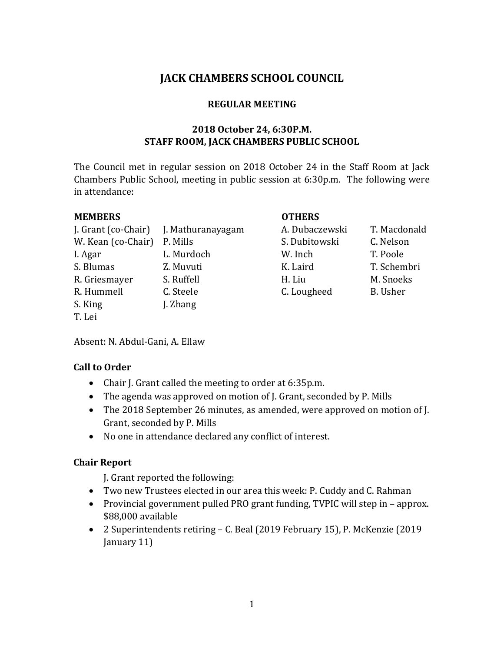# **JACK CHAMBERS SCHOOL COUNCIL**

#### **REGULAR MEETING**

#### **2018 October 24, 6:30P.M. STAFF ROOM, JACK CHAMBERS PUBLIC SCHOOL**

The Council met in regular session on 2018 October 24 in the Staff Room at Jack Chambers Public School, meeting in public session at 6:30p.m. The following were in attendance:

| <b>MEMBERS</b> |
|----------------|
|----------------|

|                             | J. Grant (co-Chair) J. Mathuranayagam | A. Dubaczewski | T. Macd         |
|-----------------------------|---------------------------------------|----------------|-----------------|
| W. Kean (co-Chair) P. Mills |                                       | S. Dubitowski  | C. Nelso        |
| I. Agar                     | L. Murdoch                            | W. Inch        | T. Poole        |
| S. Blumas                   | Z. Muvuti                             | K. Laird       | T. Schen        |
| R. Griesmayer               | S. Ruffell                            | H. Liu         | M. Snoe         |
| R. Hummell                  | C. Steele                             | C. Lougheed    | <b>B.</b> Usher |
| S. King                     | J. Zhang                              |                |                 |
| T. Lei                      |                                       |                |                 |

## **MEMBERS OTHERS**

n arte. Grant (co-Chair) J. Macdonald S. Dubitowski C. Nelson K. Laird T. Schembri R. Griesmayer S. Ruffell H. Liu M. Snoeks C. Lougheed B. Usher

Absent: N. Abdul-Gani, A. Ellaw

## **Call to Order**

- Chair J. Grant called the meeting to order at 6:35p.m.
- The agenda was approved on motion of J. Grant, seconded by P. Mills
- The 2018 September 26 minutes, as amended, were approved on motion of J. Grant, seconded by P. Mills
- No one in attendance declared any conflict of interest.

## **Chair Report**

J. Grant reported the following:

- Two new Trustees elected in our area this week: P. Cuddy and C. Rahman
- Provincial government pulled PRO grant funding, TVPIC will step in approx. \$88,000 available
- 2 Superintendents retiring C. Beal (2019 February 15), P. McKenzie (2019 January 11)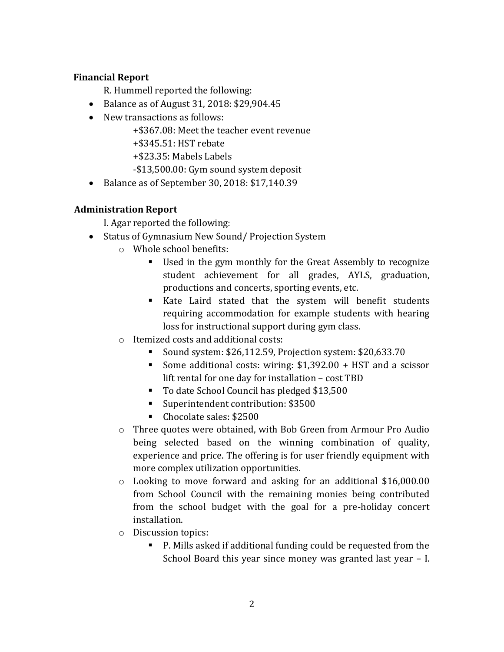### **Financial Report**

R. Hummell reported the following:

- Balance as of August 31, 2018: \$29,904.45
- New transactions as follows:

+\$367.08: Meet the teacher event revenue

- +\$345.51: HST rebate
- +\$23.35: Mabels Labels
- -\$13,500.00: Gym sound system deposit
- Balance as of September 30, 2018: \$17,140.39

### **Administration Report**

I. Agar reported the following:

- Status of Gymnasium New Sound/Projection System
	- o Whole school benefits:
		- Used in the gym monthly for the Great Assembly to recognize student achievement for all grades, AYLS, graduation, productions and concerts, sporting events, etc.
		- Kate Laird stated that the system will benefit students requiring accommodation for example students with hearing loss for instructional support during gym class.
	- o Itemized costs and additional costs:
		- Sound system: \$26,112.59, Projection system: \$20,633.70
		- Some additional costs: wiring: \$1,392.00 + HST and a scissor lift rental for one day for installation – cost TBD
		- To date School Council has pledged \$13,500
		- Superintendent contribution: \$3500
		- Chocolate sales: \$2500
	- o Three quotes were obtained, with Bob Green from Armour Pro Audio being selected based on the winning combination of quality, experience and price. The offering is for user friendly equipment with more complex utilization opportunities.
	- o Looking to move forward and asking for an additional \$16,000.00 from School Council with the remaining monies being contributed from the school budget with the goal for a pre-holiday concert installation.
	- o Discussion topics:
		- P. Mills asked if additional funding could be requested from the School Board this year since money was granted last year – I.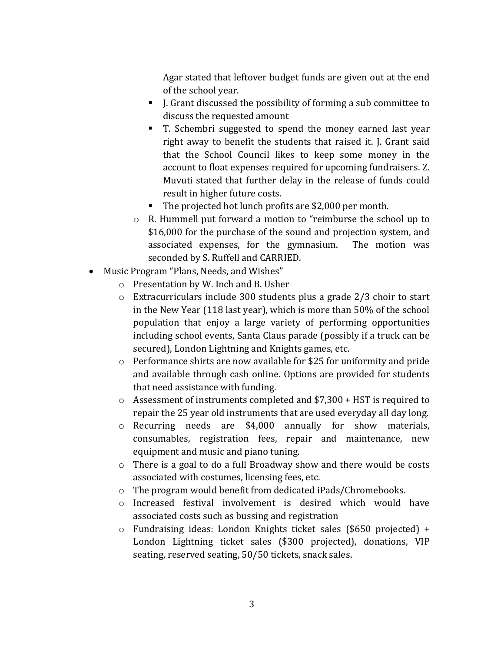Agar stated that leftover budget funds are given out at the end of the school year.

- J. Grant discussed the possibility of forming a sub committee to discuss the requested amount
- T. Schembri suggested to spend the money earned last year right away to benefit the students that raised it. J. Grant said that the School Council likes to keep some money in the account to float expenses required for upcoming fundraisers. Z. Muvuti stated that further delay in the release of funds could result in higher future costs.
- The projected hot lunch profits are \$2,000 per month.
- o R. Hummell put forward a motion to "reimburse the school up to \$16,000 for the purchase of the sound and projection system, and associated expenses, for the gymnasium. The motion was seconded by S. Ruffell and CARRIED.
- Music Program "Plans, Needs, and Wishes"
	- o Presentation by W. Inch and B. Usher
	- o Extracurriculars include 300 students plus a grade 2/3 choir to start in the New Year (118 last year), which is more than 50% of the school population that enjoy a large variety of performing opportunities including school events, Santa Claus parade (possibly if a truck can be secured), London Lightning and Knights games, etc.
	- o Performance shirts are now available for \$25 for uniformity and pride and available through cash online. Options are provided for students that need assistance with funding.
	- $\circ$  Assessment of instruments completed and \$7,300 + HST is required to repair the 25 year old instruments that are used everyday all day long.
	- o Recurring needs are \$4,000 annually for show materials, consumables, registration fees, repair and maintenance, new equipment and music and piano tuning.
	- o There is a goal to do a full Broadway show and there would be costs associated with costumes, licensing fees, etc.
	- o The program would benefit from dedicated iPads/Chromebooks.
	- o Increased festival involvement is desired which would have associated costs such as bussing and registration
	- o Fundraising ideas: London Knights ticket sales (\$650 projected) + London Lightning ticket sales (\$300 projected), donations, VIP seating, reserved seating, 50/50 tickets, snack sales.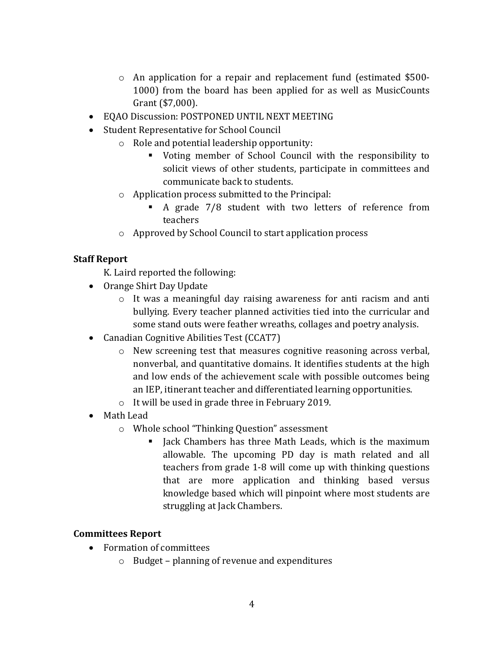- o An application for a repair and replacement fund (estimated \$500- 1000) from the board has been applied for as well as MusicCounts Grant (\$7,000).
- EQAO Discussion: POSTPONED UNTIL NEXT MEETING
- Student Representative for School Council
	- o Role and potential leadership opportunity:
		- Voting member of School Council with the responsibility to solicit views of other students, participate in committees and communicate back to students.
	- o Application process submitted to the Principal:
		- A grade 7/8 student with two letters of reference from teachers
	- o Approved by School Council to start application process

### **Staff Report**

K. Laird reported the following:

- Orange Shirt Day Update
	- o It was a meaningful day raising awareness for anti racism and anti bullying. Every teacher planned activities tied into the curricular and some stand outs were feather wreaths, collages and poetry analysis.
- Canadian Cognitive Abilities Test (CCAT7)
	- o New screening test that measures cognitive reasoning across verbal, nonverbal, and quantitative domains. It identifies students at the high and low ends of the achievement scale with possible outcomes being an IEP, itinerant teacher and differentiated learning opportunities.
	- o It will be used in grade three in February 2019.
- Math Lead
	- o Whole school "Thinking Question" assessment
		- I Jack Chambers has three Math Leads, which is the maximum allowable. The upcoming PD day is math related and all teachers from grade 1-8 will come up with thinking questions that are more application and thinking based versus knowledge based which will pinpoint where most students are struggling at Jack Chambers.

#### **Committees Report**

- Formation of committees
	- o Budget planning of revenue and expenditures